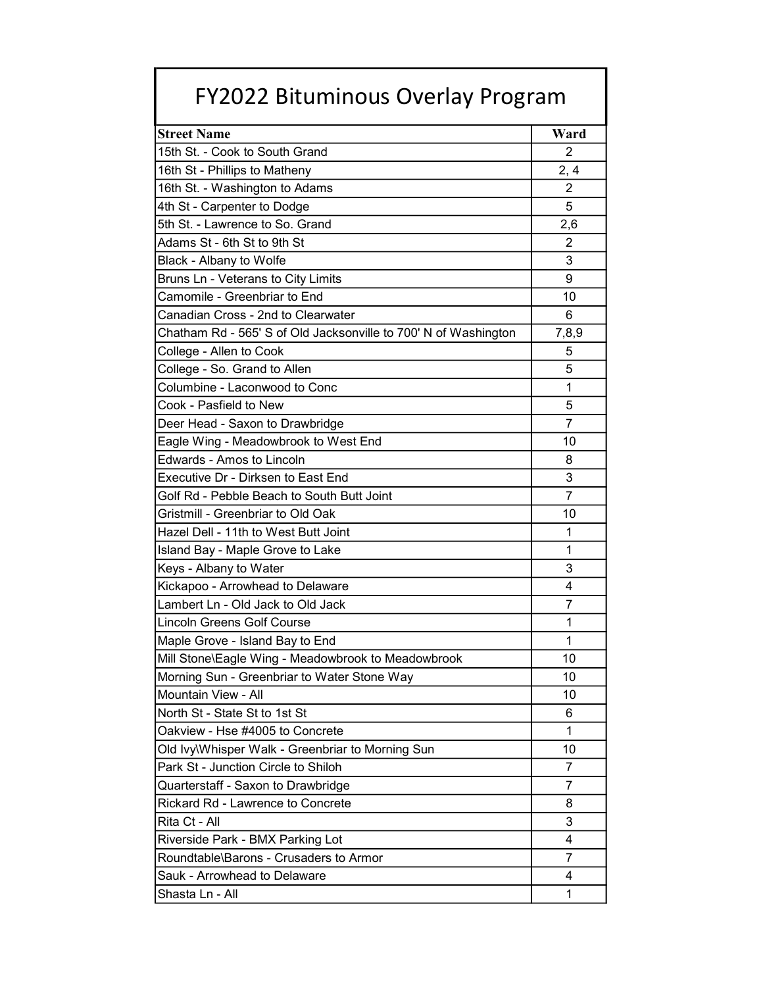## FY2022 Bituminous Overlay Program

| <b>Street Name</b>                                              | Ward           |
|-----------------------------------------------------------------|----------------|
| 15th St. - Cook to South Grand                                  | 2              |
| 16th St - Phillips to Matheny                                   | 2, 4           |
| 16th St. - Washington to Adams                                  | $\overline{2}$ |
| 4th St - Carpenter to Dodge                                     | 5              |
| 5th St. - Lawrence to So. Grand                                 | 2,6            |
| Adams St - 6th St to 9th St                                     | $\overline{2}$ |
| Black - Albany to Wolfe                                         | 3              |
| Bruns Ln - Veterans to City Limits                              | 9              |
| Camomile - Greenbriar to End                                    | 10             |
| Canadian Cross - 2nd to Clearwater                              | 6              |
| Chatham Rd - 565' S of Old Jacksonville to 700' N of Washington | 7,8,9          |
| College - Allen to Cook                                         | 5              |
| College - So. Grand to Allen                                    | 5              |
| Columbine - Laconwood to Conc                                   | 1              |
| Cook - Pasfield to New                                          | 5              |
| Deer Head - Saxon to Drawbridge                                 | $\overline{7}$ |
| Eagle Wing - Meadowbrook to West End                            | 10             |
| <b>Edwards - Amos to Lincoln</b>                                | 8              |
| Executive Dr - Dirksen to East End                              | 3              |
| Golf Rd - Pebble Beach to South Butt Joint                      | $\overline{7}$ |
| Gristmill - Greenbriar to Old Oak                               | 10             |
| Hazel Dell - 11th to West Butt Joint                            | 1              |
| Island Bay - Maple Grove to Lake                                | 1              |
| Keys - Albany to Water                                          | 3              |
| Kickapoo - Arrowhead to Delaware                                | 4              |
| Lambert Ln - Old Jack to Old Jack                               | $\overline{7}$ |
| Lincoln Greens Golf Course                                      | 1              |
| Maple Grove - Island Bay to End                                 | 1              |
| Mill Stone\Eagle Wing - Meadowbrook to Meadowbrook              | 10             |
| Morning Sun - Greenbriar to Water Stone Way                     | 10             |
| Mountain View - All                                             | 10             |
| North St - State St to 1st St                                   | 6              |
| Oakview - Hse #4005 to Concrete                                 | 1              |
| Old Ivy\Whisper Walk - Greenbriar to Morning Sun                | 10             |
| Park St - Junction Circle to Shiloh                             | 7              |
| Quarterstaff - Saxon to Drawbridge                              | 7              |
| Rickard Rd - Lawrence to Concrete                               | 8              |
| Rita Ct - All                                                   | 3              |
| Riverside Park - BMX Parking Lot                                | 4              |
| Roundtable\Barons - Crusaders to Armor                          | 7              |
| Sauk - Arrowhead to Delaware                                    | 4              |
| Shasta Ln - All                                                 | 1              |